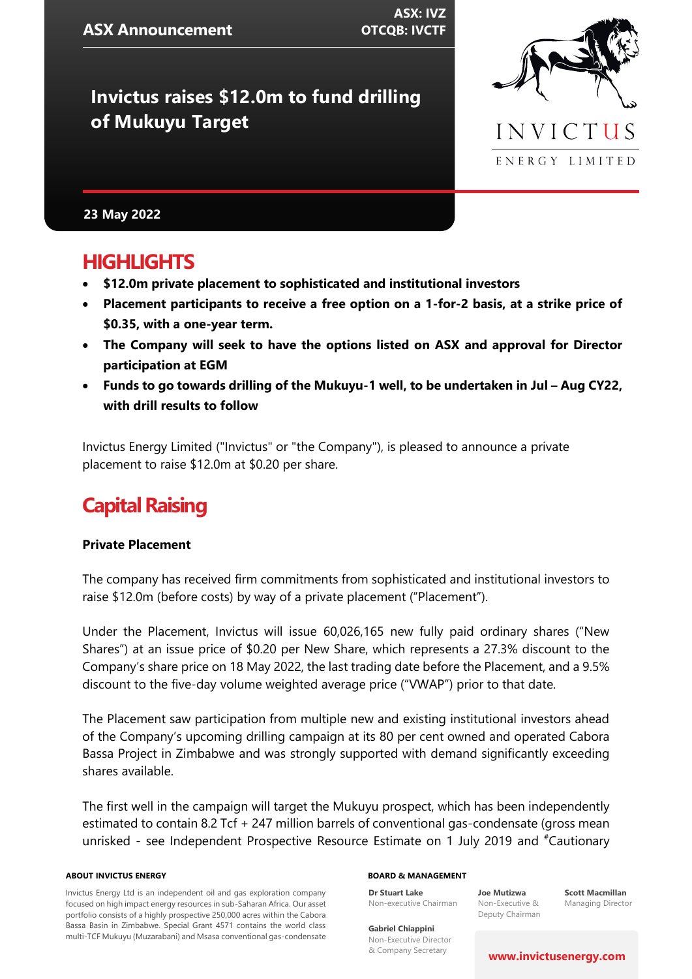**ASX: IVZ OTCQB: IVCTF**

# **Invictus raises \$12.0m to fund drilling of Mukuyu Target**



### **23 May 2022**

## **HIGHLIGHTS**

- **\$12.0m private placement to sophisticated and institutional investors**
- **Placement participants to receive a free option on a 1-for-2 basis, at a strike price of \$0.35, with a one-year term.**
- **The Company will seek to have the options listed on ASX and approval for Director participation at EGM**
- Funds to go towards drilling of the Mukuyu-1 well, to be undertaken in Jul Aug CY22, **with drill results to follow**

Invictus Energy Limited ("Invictus" or "the Company"), is pleased to announce a private placement to raise \$12.0m at \$0.20 per share.

# **Capital Raising**

#### **Private Placement**

The company has received firm commitments from sophisticated and institutional investors to raise \$12.0m (before costs) by way of a private placement ("Placement").

Under the Placement, Invictus will issue 60,026,165 new fully paid ordinary shares ("New Shares") at an issue price of \$0.20 per New Share, which represents a 27.3% discount to the Company's share price on 18 May 2022, the last trading date before the Placement, and a 9.5% discount to the five-day volume weighted average price ("VWAP") prior to that date.

The Placement saw participation from multiple new and existing institutional investors ahead of the Company's upcoming drilling campaign at its 80 per cent owned and operated Cabora Bassa Project in Zimbabwe and was strongly supported with demand significantly exceeding shares available.

The first well in the campaign will target the Mukuyu prospect, which has been independently estimated to contain 8.2 Tcf + 247 million barrels of conventional gas-condensate (gross mean unrisked - see Independent Prospective Resource Estimate on 1 July 2019 and #Cautionary

#### **ABOUT INVICTUS ENERGY**

Invictus Energy Ltd is an independent oil and gas exploration company focused on high impact energy resources in sub-Saharan Africa. Our asset portfolio consists of a highly prospective 250,000 acres within the Cabora Bassa Basin in Zimbabwe. Special Grant 4571 contains the world class multi-TCF Mukuyu (Muzarabani) and Msasa conventional gas-condensate

#### **BOARD & MANAGEMENT**

Non-executive Chairman **Joe Mutizwa** Non-Executive & Deputy Chairman

**Scott Macmillan** Managing Director

**Gabriel Chiappini** Non-Executive Director & Company Secretary

**Dr Stuart Lake**

#### **[www.invictusenergy.com](http://www.invictusenergy.com/)**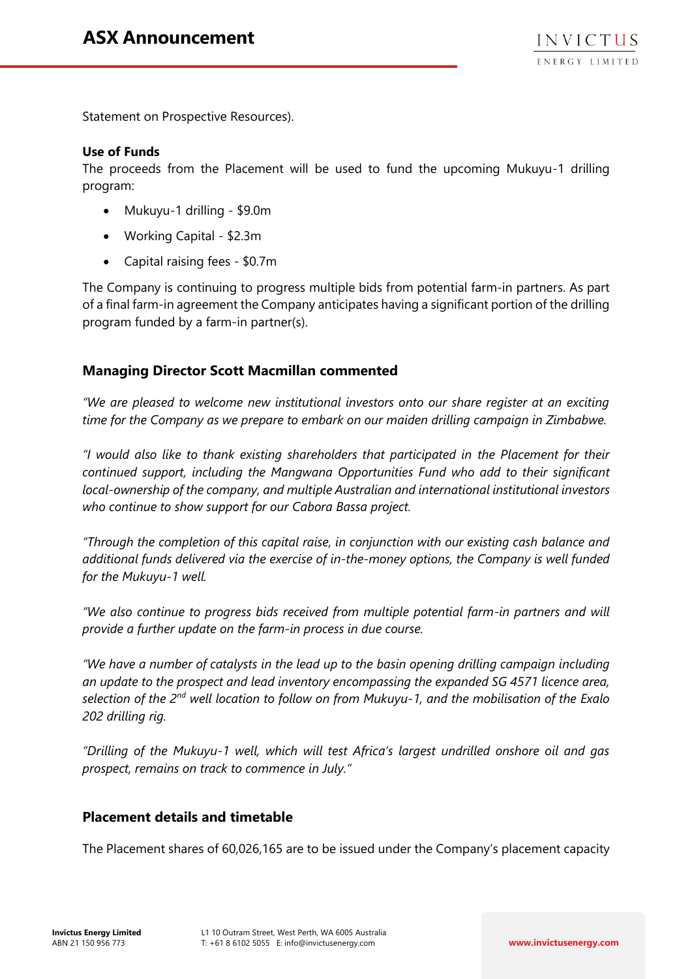Statement on Prospective Resources).

### **Use of Funds**

The proceeds from the Placement will be used to fund the upcoming Mukuyu-1 drilling program:

- Mukuyu-1 drilling \$9.0m
- Working Capital \$2.3m
- Capital raising fees \$0.7m

The Company is continuing to progress multiple bids from potential farm-in partners. As part of a final farm-in agreement the Company anticipates having a significant portion of the drilling program funded by a farm-in partner(s).

## **Managing Director Scott Macmillan commented**

*"We are pleased to welcome new institutional investors onto our share register at an exciting time for the Company as we prepare to embark on our maiden drilling campaign in Zimbabwe.* 

*"I would also like to thank existing shareholders that participated in the Placement for their continued support, including the Mangwana Opportunities Fund who add to their significant local-ownership of the company, and multiple Australian and international institutional investors who continue to show support for our Cabora Bassa project.* 

*"Through the completion of this capital raise, in conjunction with our existing cash balance and additional funds delivered via the exercise of in-the-money options, the Company is well funded for the Mukuyu-1 well.*

*"We also continue to progress bids received from multiple potential farm-in partners and will provide a further update on the farm-in process in due course.* 

*"We have a number of catalysts in the lead up to the basin opening drilling campaign including an update to the prospect and lead inventory encompassing the expanded SG 4571 licence area, selection of the 2nd well location to follow on from Mukuyu-1, and the mobilisation of the Exalo 202 drilling rig.*

*"Drilling of the Mukuyu-1 well, which will test Africa's largest undrilled onshore oil and gas prospect, remains on track to commence in July."* 

## **Placement details and timetable**

The Placement shares of 60,026,165 are to be issued under the Company's placement capacity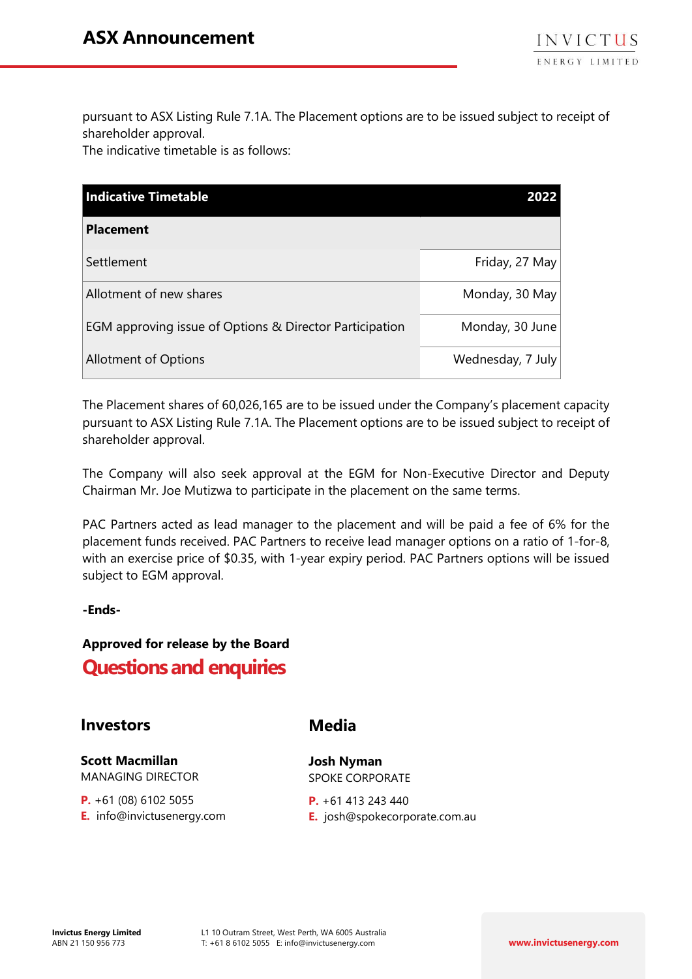pursuant to ASX Listing Rule 7.1A. The Placement options are to be issued subject to receipt of shareholder approval.

The indicative timetable is as follows:

| <b>Indicative Timetable</b>                             |                   |
|---------------------------------------------------------|-------------------|
| <b>Placement</b>                                        |                   |
| Settlement                                              | Friday, 27 May    |
| Allotment of new shares                                 | Monday, 30 May    |
| EGM approving issue of Options & Director Participation | Monday, 30 June   |
| <b>Allotment of Options</b>                             | Wednesday, 7 July |

The Placement shares of 60,026,165 are to be issued under the Company's placement capacity pursuant to ASX Listing Rule 7.1A. The Placement options are to be issued subject to receipt of shareholder approval.

The Company will also seek approval at the EGM for Non-Executive Director and Deputy Chairman Mr. Joe Mutizwa to participate in the placement on the same terms.

PAC Partners acted as lead manager to the placement and will be paid a fee of 6% for the placement funds received. PAC Partners to receive lead manager options on a ratio of 1-for-8, with an exercise price of \$0.35, with 1-year expiry period. PAC Partners options will be issued subject to EGM approval.

**-Ends-**

## **Approved for release by the Board Questions and enquiries**

## **Investors**

**Scott Macmillan**  MANAGING DIRECTOR

**P.** +61 (08) 6102 5055 **E.** info@invictusenergy.com **Media** 

**Josh Nyman** SPOKE CORPORATE

**P.** +61 413 243 440 **E.** josh@spokecorporate.com.au